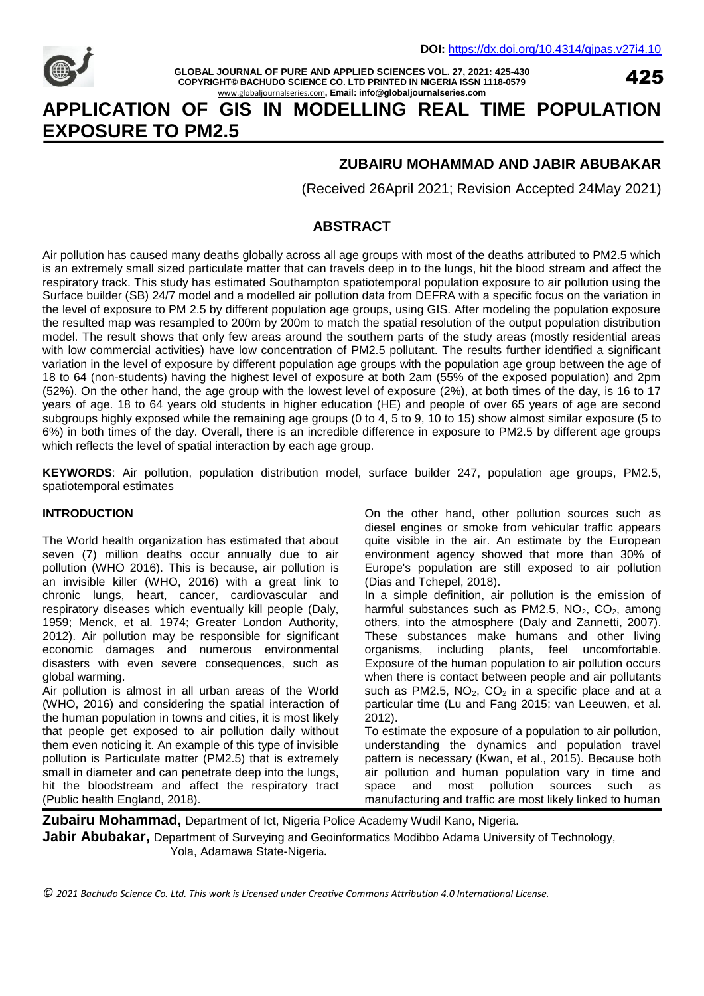

**GLOBAL JOURNAL OF PURE AND APPLIED SCIENCES VOL. 27, 2021: 425-430 COPYRIGHT© BACHUDO SCIENCE CO. LTD PRINTED IN NIGERIA ISSN 1118-0579** www.globaljournalseries.com**, Email: info@globaljournalseries.com**

425

# **APPLICATION OF GIS IN MODELLING REAL TIME POPULATION EXPOSURE TO PM2.5**

## **ZUBAIRU MOHAMMAD AND JABIR ABUBAKAR**

(Received 26April 2021; Revision Accepted 24May 2021)

## **ABSTRACT**

Air pollution has caused many deaths globally across all age groups with most of the deaths attributed to PM2.5 which is an extremely small sized particulate matter that can travels deep in to the lungs, hit the blood stream and affect the respiratory track. This study has estimated Southampton spatiotemporal population exposure to air pollution using the Surface builder (SB) 24/7 model and a modelled air pollution data from DEFRA with a specific focus on the variation in the level of exposure to PM 2.5 by different population age groups, using GIS. After modeling the population exposure the resulted map was resampled to 200m by 200m to match the spatial resolution of the output population distribution model. The result shows that only few areas around the southern parts of the study areas (mostly residential areas with low commercial activities) have low concentration of PM2.5 pollutant. The results further identified a significant variation in the level of exposure by different population age groups with the population age group between the age of 18 to 64 (non-students) having the highest level of exposure at both 2am (55% of the exposed population) and 2pm (52%). On the other hand, the age group with the lowest level of exposure (2%), at both times of the day, is 16 to 17 years of age. 18 to 64 years old students in higher education (HE) and people of over 65 years of age are second subgroups highly exposed while the remaining age groups (0 to 4, 5 to 9, 10 to 15) show almost similar exposure (5 to 6%) in both times of the day. Overall, there is an incredible difference in exposure to PM2.5 by different age groups which reflects the level of spatial interaction by each age group.

**KEYWORDS**: Air pollution, population distribution model, surface builder 247, population age groups, PM2.5, spatiotemporal estimates

#### **INTRODUCTION**

The World health organization has estimated that about seven (7) million deaths occur annually due to air pollution (WHO 2016). This is because, air pollution is an invisible killer (WHO, 2016) with a great link to chronic lungs, heart, cancer, cardiovascular and respiratory diseases which eventually kill people (Daly, 1959; Menck, et al. 1974; Greater London Authority, 2012). Air pollution may be responsible for significant economic damages and numerous environmental disasters with even severe consequences, such as global warming.

Air pollution is almost in all urban areas of the World (WHO, 2016) and considering the spatial interaction of the human population in towns and cities, it is most likely that people get exposed to air pollution daily without them even noticing it. An example of this type of invisible pollution is Particulate matter (PM2.5) that is extremely small in diameter and can penetrate deep into the lungs, hit the bloodstream and affect the respiratory tract (Public health England, 2018).

On the other hand, other pollution sources such as diesel engines or smoke from vehicular traffic appears quite visible in the air. An estimate by the European environment agency showed that more than 30% of Europe's population are still exposed to air pollution (Dias and Tchepel, 2018).

In a simple definition, air pollution is the emission of harmful substances such as PM2.5,  $NO<sub>2</sub>$ ,  $CO<sub>2</sub>$ , among others, into the atmosphere (Daly and Zannetti, 2007). These substances make humans and other living organisms, including plants, feel uncomfortable. Exposure of the human population to air pollution occurs when there is contact between people and air pollutants such as PM2.5,  $NO<sub>2</sub>$ ,  $CO<sub>2</sub>$  in a specific place and at a particular time (Lu and Fang 2015; van Leeuwen, et al. 2012).

To estimate the exposure of a population to air pollution, understanding the dynamics and population travel pattern is necessary (Kwan, et al., 2015). Because both air pollution and human population vary in time and space and most pollution sources such as manufacturing and traffic are most likely linked to human

**Zubairu Mohammad,** Department of Ict, Nigeria Police Academy Wudil Kano, Nigeria. **Jabir Abubakar,** Department of Surveying and Geoinformatics Modibbo Adama University of Technology, Yola, Adamawa State-Nigeri**a.**

*© 2021 Bachudo Science Co. Ltd. This work is Licensed under Creative Commons Attribution 4.0 International License.*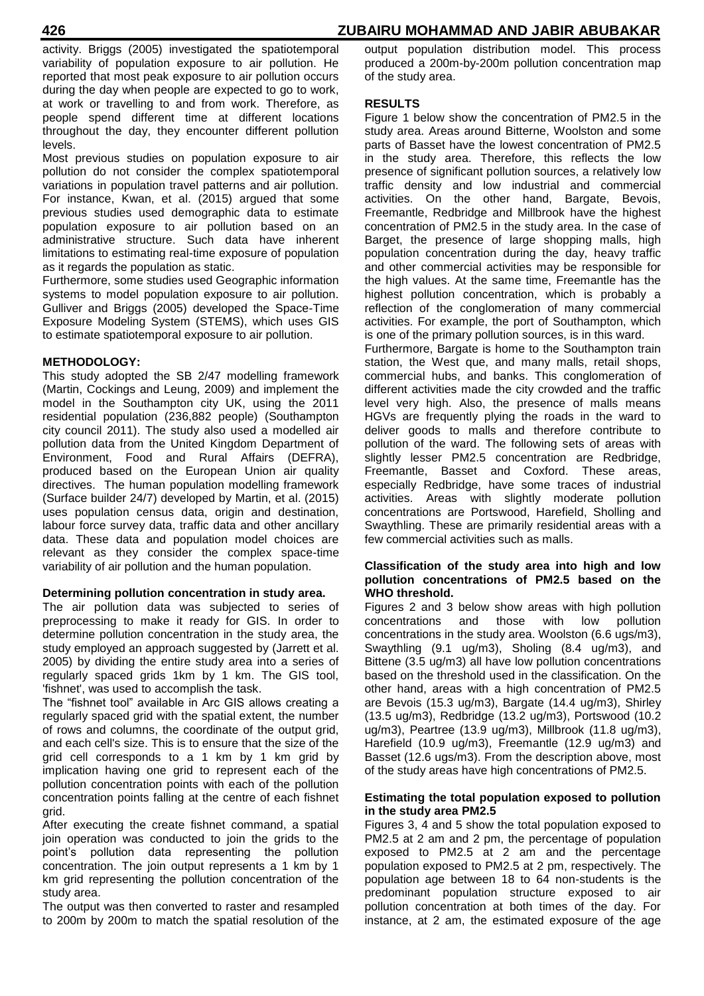activity. Briggs (2005) investigated the spatiotemporal variability of population exposure to air pollution. He reported that most peak exposure to air pollution occurs during the day when people are expected to go to work, at work or travelling to and from work. Therefore, as people spend different time at different locations throughout the day, they encounter different pollution levels.

Most previous studies on population exposure to air pollution do not consider the complex spatiotemporal variations in population travel patterns and air pollution. For instance, Kwan, et al. (2015) argued that some previous studies used demographic data to estimate population exposure to air pollution based on an administrative structure. Such data have inherent limitations to estimating real-time exposure of population as it regards the population as static.

Furthermore, some studies used Geographic information systems to model population exposure to air pollution. Gulliver and Briggs (2005) developed the Space-Time Exposure Modeling System (STEMS), which uses GIS to estimate spatiotemporal exposure to air pollution.

### **METHODOLOGY:**

This study adopted the SB 2/47 modelling framework (Martin, Cockings and Leung, 2009) and implement the model in the Southampton city UK, using the 2011 residential population (236,882 people) (Southampton city council 2011). The study also used a modelled air pollution data from the United Kingdom Department of Environment, Food and Rural Affairs (DEFRA), produced based on the European Union air quality directives. The human population modelling framework (Surface builder 24/7) developed by Martin, et al. (2015) uses population census data, origin and destination, labour force survey data, traffic data and other ancillary data. These data and population model choices are relevant as they consider the complex space-time variability of air pollution and the human population.

#### **Determining pollution concentration in study area.**

The air pollution data was subjected to series of preprocessing to make it ready for GIS. In order to determine pollution concentration in the study area, the study employed an approach suggested by (Jarrett et al. 2005) by dividing the entire study area into a series of regularly spaced grids 1km by 1 km. The GIS tool, 'fishnet', was used to accomplish the task.

The "fishnet tool" available in Arc GIS allows creating a regularly spaced grid with the spatial extent, the number of rows and columns, the coordinate of the output grid, and each cell's size. This is to ensure that the size of the grid cell corresponds to a 1 km by 1 km grid by implication having one grid to represent each of the pollution concentration points with each of the pollution concentration points falling at the centre of each fishnet grid.

After executing the create fishnet command, a spatial join operation was conducted to join the grids to the point's pollution data representing the pollution concentration. The join output represents a 1 km by 1 km grid representing the pollution concentration of the study area.

The output was then converted to raster and resampled to 200m by 200m to match the spatial resolution of the

output population distribution model. This process produced a 200m-by-200m pollution concentration map of the study area.

#### **RESULTS**

Figure 1 below show the concentration of PM2.5 in the study area. Areas around Bitterne, Woolston and some parts of Basset have the lowest concentration of PM2.5 in the study area. Therefore, this reflects the low presence of significant pollution sources, a relatively low traffic density and low industrial and commercial activities. On the other hand, Bargate, Bevois, Freemantle, Redbridge and Millbrook have the highest concentration of PM2.5 in the study area. In the case of Barget, the presence of large shopping malls, high population concentration during the day, heavy traffic and other commercial activities may be responsible for the high values. At the same time, Freemantle has the highest pollution concentration, which is probably a reflection of the conglomeration of many commercial activities. For example, the port of Southampton, which is one of the primary pollution sources, is in this ward. Furthermore, Bargate is home to the Southampton train

station, the West que, and many malls, retail shops, commercial hubs, and banks. This conglomeration of different activities made the city crowded and the traffic level very high. Also, the presence of malls means HGVs are frequently plying the roads in the ward to deliver goods to malls and therefore contribute to pollution of the ward. The following sets of areas with slightly lesser PM2.5 concentration are Redbridge, Freemantle, Basset and Coxford. These areas, especially Redbridge, have some traces of industrial activities. Areas with slightly moderate pollution concentrations are Portswood, Harefield, Sholling and Swaythling. These are primarily residential areas with a few commercial activities such as malls.

#### **Classification of the study area into high and low pollution concentrations of PM2.5 based on the WHO threshold.**

Figures 2 and 3 below show areas with high pollution concentrations and those with low pollution concentrations in the study area. Woolston (6.6 ugs/m3), Swaythling (9.1 ug/m3), Sholing (8.4 ug/m3), and Bittene (3.5 ug/m3) all have low pollution concentrations based on the threshold used in the classification. On the other hand, areas with a high concentration of PM2.5 are Bevois (15.3 ug/m3), Bargate (14.4 ug/m3), Shirley (13.5 ug/m3), Redbridge (13.2 ug/m3), Portswood (10.2 ug/m3), Peartree (13.9 ug/m3), Millbrook (11.8 ug/m3), Harefield (10.9 ug/m3), Freemantle (12.9 ug/m3) and Basset (12.6 ugs/m3). From the description above, most of the study areas have high concentrations of PM2.5.

#### **Estimating the total population exposed to pollution in the study area PM2.5**

Figures 3, 4 and 5 show the total population exposed to PM2.5 at 2 am and 2 pm, the percentage of population exposed to PM2.5 at 2 am and the percentage population exposed to PM2.5 at 2 pm, respectively. The population age between 18 to 64 non-students is the predominant population structure exposed to air pollution concentration at both times of the day. For instance, at 2 am, the estimated exposure of the age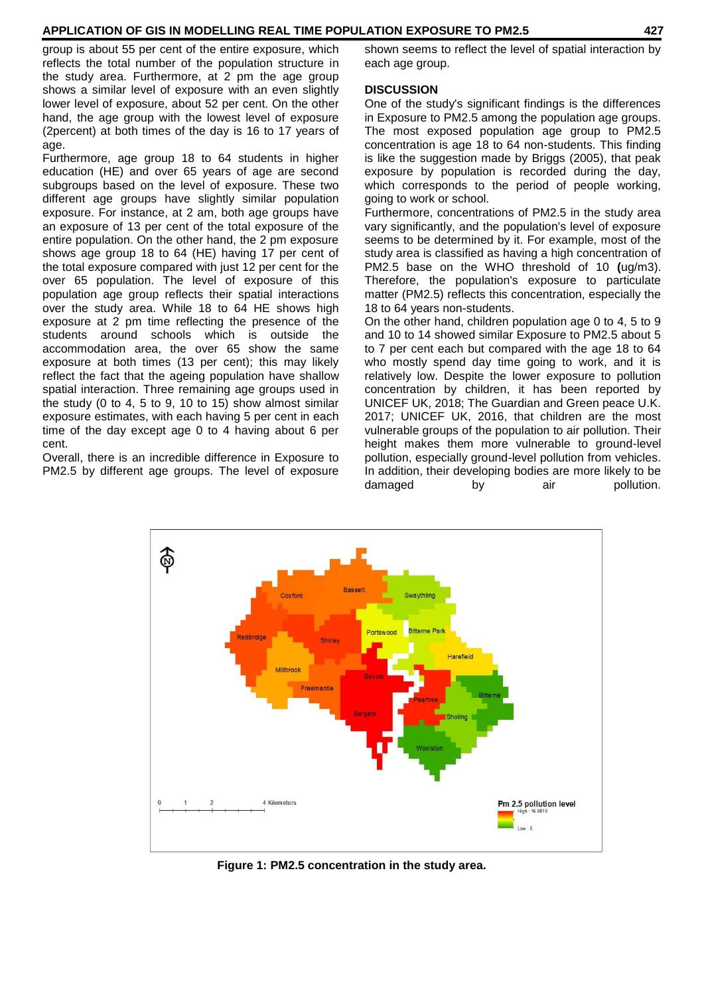#### **APPLICATION OF GIS IN MODELLING REAL TIME POPULATION EXPOSURE TO PM2.5 427**

group is about 55 per cent of the entire exposure, which reflects the total number of the population structure in the study area. Furthermore, at 2 pm the age group shows a similar level of exposure with an even slightly lower level of exposure, about 52 per cent. On the other hand, the age group with the lowest level of exposure (2percent) at both times of the day is 16 to 17 years of age.

Furthermore, age group 18 to 64 students in higher education (HE) and over 65 years of age are second subgroups based on the level of exposure. These two different age groups have slightly similar population exposure. For instance, at 2 am, both age groups have an exposure of 13 per cent of the total exposure of the entire population. On the other hand, the 2 pm exposure shows age group 18 to 64 (HE) having 17 per cent of the total exposure compared with just 12 per cent for the over 65 population. The level of exposure of this population age group reflects their spatial interactions over the study area. While 18 to 64 HE shows high exposure at 2 pm time reflecting the presence of the students around schools which is outside the accommodation area, the over 65 show the same exposure at both times (13 per cent); this may likely reflect the fact that the ageing population have shallow spatial interaction. Three remaining age groups used in the study (0 to 4, 5 to 9, 10 to 15) show almost similar exposure estimates, with each having 5 per cent in each time of the day except age 0 to 4 having about 6 per cent.

Overall, there is an incredible difference in Exposure to PM2.5 by different age groups. The level of exposure shown seems to reflect the level of spatial interaction by each age group.

#### **DISCUSSION**

One of the study's significant findings is the differences in Exposure to PM2.5 among the population age groups. The most exposed population age group to PM2.5 concentration is age 18 to 64 non-students. This finding is like the suggestion made by Briggs (2005), that peak exposure by population is recorded during the day, which corresponds to the period of people working, going to work or school.

Furthermore, concentrations of PM2.5 in the study area vary significantly, and the population's level of exposure seems to be determined by it. For example, most of the study area is classified as having a high concentration of PM2.5 base on the WHO threshold of 10 **(**ug/m3). Therefore, the population's exposure to particulate matter (PM2.5) reflects this concentration, especially the 18 to 64 years non-students.

On the other hand, children population age 0 to 4, 5 to 9 and 10 to 14 showed similar Exposure to PM2.5 about 5 to 7 per cent each but compared with the age 18 to 64 who mostly spend day time going to work, and it is relatively low. Despite the lower exposure to pollution concentration by children, it has been reported by UNICEF UK, 2018; The Guardian and Green peace U.K. 2017; UNICEF UK, 2016, that children are the most vulnerable groups of the population to air pollution. Their height makes them more vulnerable to ground-level pollution, especially ground-level pollution from vehicles. In addition, their developing bodies are more likely to be damaged by air pollution.



**Figure 1: PM2.5 concentration in the study area.**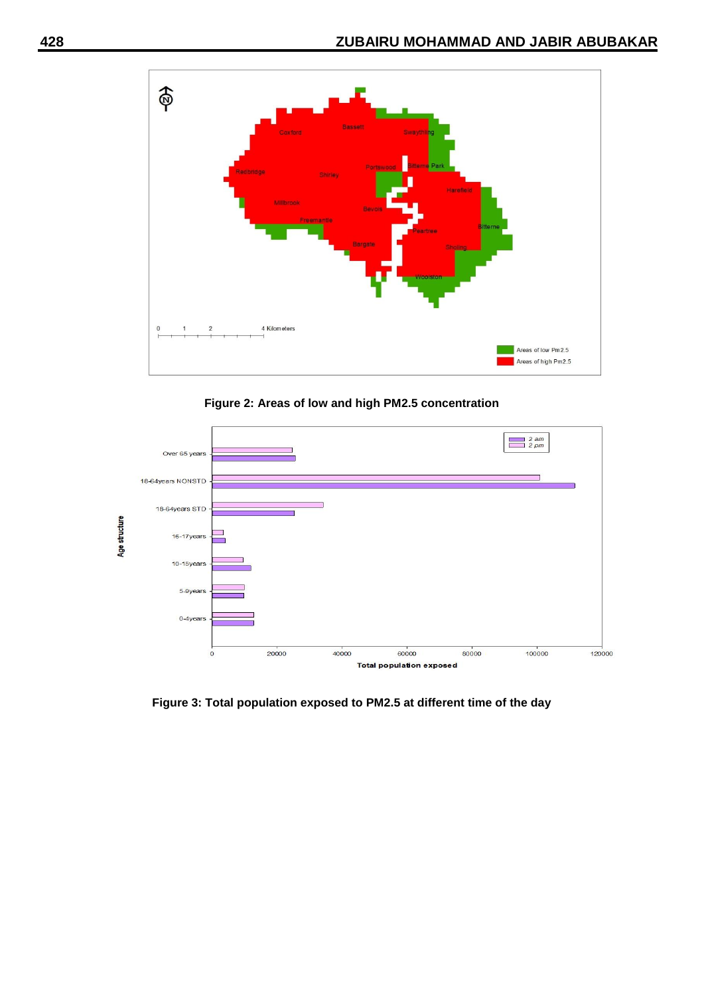

**Figure 2: Areas of low and high PM2.5 concentration**



**Figure 3: Total population exposed to PM2.5 at different time of the day**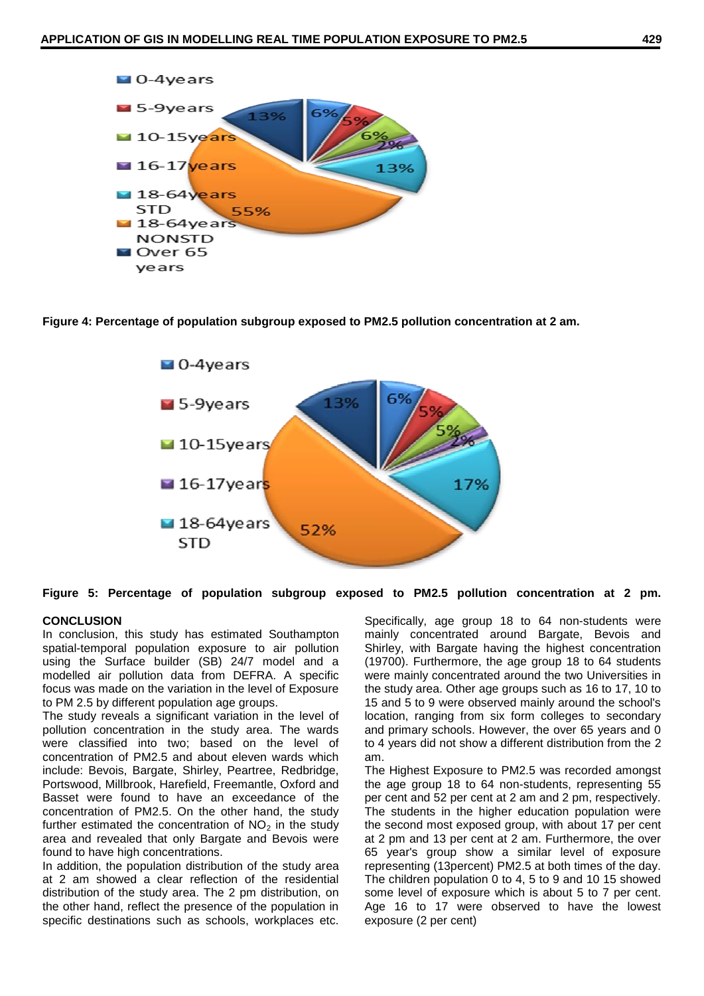

**Figure 4: Percentage of population subgroup exposed to PM2.5 pollution concentration at 2 am.**



**Figure 5: Percentage of population subgroup exposed to PM2.5 pollution concentration at 2 pm.**

#### **CONCLUSION**

In conclusion, this study has estimated Southampton spatial-temporal population exposure to air pollution using the Surface builder (SB) 24/7 model and a modelled air pollution data from DEFRA. A specific focus was made on the variation in the level of Exposure to PM 2.5 by different population age groups.

The study reveals a significant variation in the level of pollution concentration in the study area. The wards were classified into two; based on the level of concentration of PM2.5 and about eleven wards which include: Bevois, Bargate, Shirley, Peartree, Redbridge, Portswood, Millbrook, Harefield, Freemantle, Oxford and Basset were found to have an exceedance of the concentration of PM2.5. On the other hand, the study further estimated the concentration of  $NO<sub>2</sub>$  in the study area and revealed that only Bargate and Bevois were found to have high concentrations.

In addition, the population distribution of the study area at 2 am showed a clear reflection of the residential distribution of the study area. The 2 pm distribution, on the other hand, reflect the presence of the population in specific destinations such as schools, workplaces etc.

Specifically, age group 18 to 64 non-students were mainly concentrated around Bargate, Bevois and Shirley, with Bargate having the highest concentration (19700). Furthermore, the age group 18 to 64 students were mainly concentrated around the two Universities in the study area. Other age groups such as 16 to 17, 10 to 15 and 5 to 9 were observed mainly around the school's location, ranging from six form colleges to secondary and primary schools. However, the over 65 years and 0 to 4 years did not show a different distribution from the 2 am.

The Highest Exposure to PM2.5 was recorded amongst the age group 18 to 64 non-students, representing 55 per cent and 52 per cent at 2 am and 2 pm, respectively. The students in the higher education population were the second most exposed group, with about 17 per cent at 2 pm and 13 per cent at 2 am. Furthermore, the over 65 year's group show a similar level of exposure representing (13percent) PM2.5 at both times of the day. The children population 0 to 4, 5 to 9 and 10 15 showed some level of exposure which is about 5 to 7 per cent. Age 16 to 17 were observed to have the lowest exposure (2 per cent)